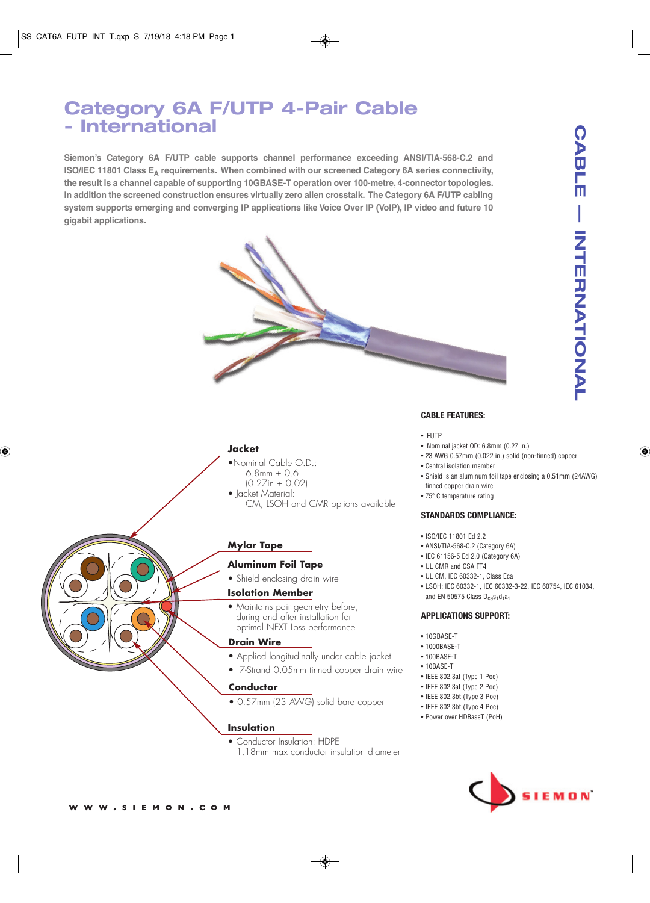# **Category 6A F/UTP 4-Pair Cable - International**

**Siemon's Category 6A F/UTP cable supports channel performance exceeding ANSI/TIA-568-C.2 and ISO/IEC 11801 Class E <sup>A</sup> requirements. When combined with our screened Category 6A series connectivity, the result is a channel capable of supporting 10GBASE-T operation over 100-metre, 4-connector topologies. In addition the screened construction ensures virtually zero alien crosstalk. The Category 6A F/UTP cabling system supports emerging and converging IP applications like Voice Over IP (VoIP), IP video and future 10 gigabit applications.**



# **Jacket**

- •Nominal Cable O.D.:  $6.8$ mm  $\pm$  0.6
	- (0.27in ± 0.02)
- *Jacket Material:* 
	- CM, LSOH and CMR options available

# **Mylar Tape**

# **Aluminum Foil Tape**

• Shield enclosing drain wire

# **Isolation Member**

• Maintains pair geometry before, during and after installation for optimal NEXT Loss performance

### **Drain Wire**

- Applied longitudinally under cable jacket
- 7-Strand 0.05mm tinned copper drain wire

# **Conductor**

• 0.57mm (23 AWG) solid bare copper

# **Insulation**

- Conductor Insulation: HDPE
	- 1.18mm max conductor insulation diameter

**CABL** 

Ш

# **CABLE FEATURES:**

- FUTP
- Nominal jacket OD: 6.8mm (0.27 in.)
- 23 AWG 0.57mm (0.022 in.) solid (non-tinned) copper
- Central isolation member
- Shield is an aluminum foil tape enclosing a 0.51mm (24AWG)
- tinned copper drain wire • 75º C temperature rating

### **STANDARDS COMPLIANCE:**

- ISO/IEC 11801 Ed 2.2
- ANSI/TIA-568-C.2 (Category 6A)
- IEC 61156-5 Ed 2.0 (Category 6A)
- UL CMR and CSA FT4
- UL CM, IEC 60332-1, Class Eca
- LSOH: IEC 60332-1, IEC 60332-3-22, IEC 60754, IEC 61034, and EN 50575 Class  $D_{ca} s_1 d_1 a_1$

### **APPLICATIONS SUPPORT:**

- 10GBASE-T
- 1000BASE-T
- 100BASE-T
- 10BASE-T
- IEEE 802.3af (Type 1 Poe)
- IEEE 802.3at (Type 2 Poe)
- IEEE 802.3bt (Type 3 Poe)
- IEEE 802.3bt (Type 4 Poe)
- Power over HDBaseT (PoH)